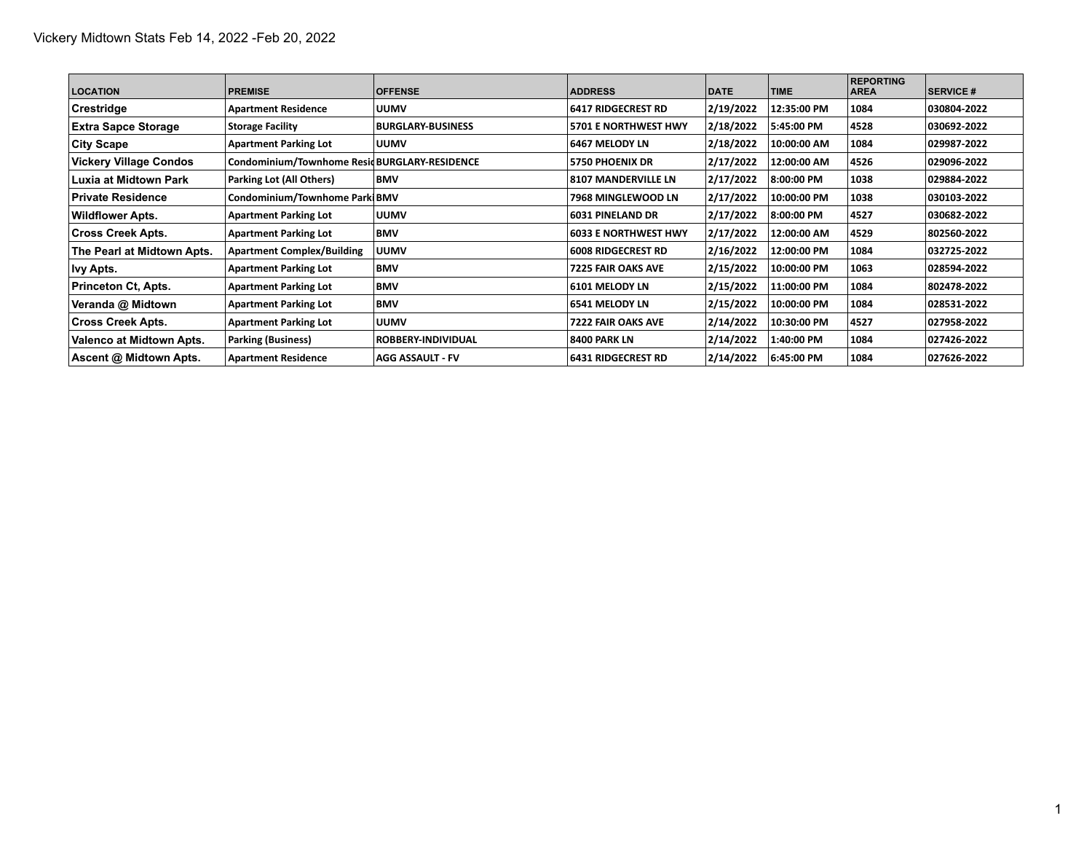| <b>LOCATION</b>               | <b>PREMISE</b>                                | <b>OFFENSE</b>           | <b>ADDRESS</b>              | <b>DATE</b> | <b>TIME</b> | <b>REPORTING</b><br><b>AREA</b> | <b>SERVICE #</b> |
|-------------------------------|-----------------------------------------------|--------------------------|-----------------------------|-------------|-------------|---------------------------------|------------------|
| Crestridge                    | <b>Apartment Residence</b>                    | <b>UUMV</b>              | 6417 RIDGECREST RD          | 2/19/2022   | 12:35:00 PM | 1084                            | 030804-2022      |
| <b>Extra Sapce Storage</b>    | <b>Storage Facility</b>                       | <b>BURGLARY BUSINESS</b> | <b>5701 E NORTHWEST HWY</b> | 2/18/2022   | 5:45:00 PM  | 4528                            | 030692-2022      |
| <b>City Scape</b>             | <b>Apartment Parking Lot</b>                  | <b>UUMV</b>              | 6467 MELODY LN              | 2/18/2022   | 10:00:00 AM | 1084                            | 029987-2022      |
| <b>Vickery Village Condos</b> | Condominium/Townhome Resid BURGLARY-RESIDENCE |                          | <b>5750 PHOENIX DR</b>      | 2/17/2022   | 12:00:00 AM | 4526                            | 029096-2022      |
| Luxia at Midtown Park         | Parking Lot (All Others)                      | <b>BMV</b>               | 8107 MANDERVILLE LN         | 2/17/2022   | 8:00:00 PM  | 1038                            | 029884-2022      |
| l Private Residence           | Condominium/Townhome Park BMV                 |                          | 7968 MINGLEWOOD LN          | 2/17/2022   | 10:00:00 PM | 1038                            | 030103-2022      |
| <b>Wildflower Apts.</b>       | <b>Apartment Parking Lot</b>                  | <b>UUMV</b>              | 6031 PINELAND DR            | 2/17/2022   | 8:00:00 PM  | 4527                            | 030682-2022      |
| <b>Cross Creek Apts.</b>      | <b>Apartment Parking Lot</b>                  | <b>BMV</b>               | <b>6033 E NORTHWEST HWY</b> | 2/17/2022   | 12:00:00 AM | 4529                            | 802560-2022      |
| The Pearl at Midtown Apts.    | <b>Apartment Complex/Building</b>             | <b>UUMV</b>              | <b>6008 RIDGECREST RD</b>   | 2/16/2022   | 12:00:00 PM | 1084                            | 032725-2022      |
| lvy Apts.                     | <b>Apartment Parking Lot</b>                  | <b>BMV</b>               | 7225 FAIR OAKS AVE          | 2/15/2022   | 10:00:00 PM | 1063                            | 028594-2022      |
| Princeton Ct, Apts.           | <b>Apartment Parking Lot</b>                  | <b>BMV</b>               | 6101 MELODY LN              | 2/15/2022   | 11:00:00 PM | 1084                            | 802478-2022      |
| Veranda @ Midtown             | <b>Apartment Parking Lot</b>                  | <b>BMV</b>               | 6541 MELODY LN              | 2/15/2022   | 10:00:00 PM | 1084                            | 028531-2022      |
| <b>Cross Creek Apts.</b>      | <b>Apartment Parking Lot</b>                  | <b>UUMV</b>              | 7222 FAIR OAKS AVE          | 2/14/2022   | 10:30:00 PM | 4527                            | 027958-2022      |
| Valenco at Midtown Apts.      | <b>Parking (Business)</b>                     | ROBBERY-INDIVIDUAL       | 8400 PARK LN                | 2/14/2022   | 1:40:00 PM  | 1084                            | 027426-2022      |
| Ascent @ Midtown Apts.        | <b>Apartment Residence</b>                    | <b>AGG ASSAULT - FV</b>  | <b>6431 RIDGECREST RD</b>   | 2/14/2022   | 6:45:00 PM  | 1084                            | 027626-2022      |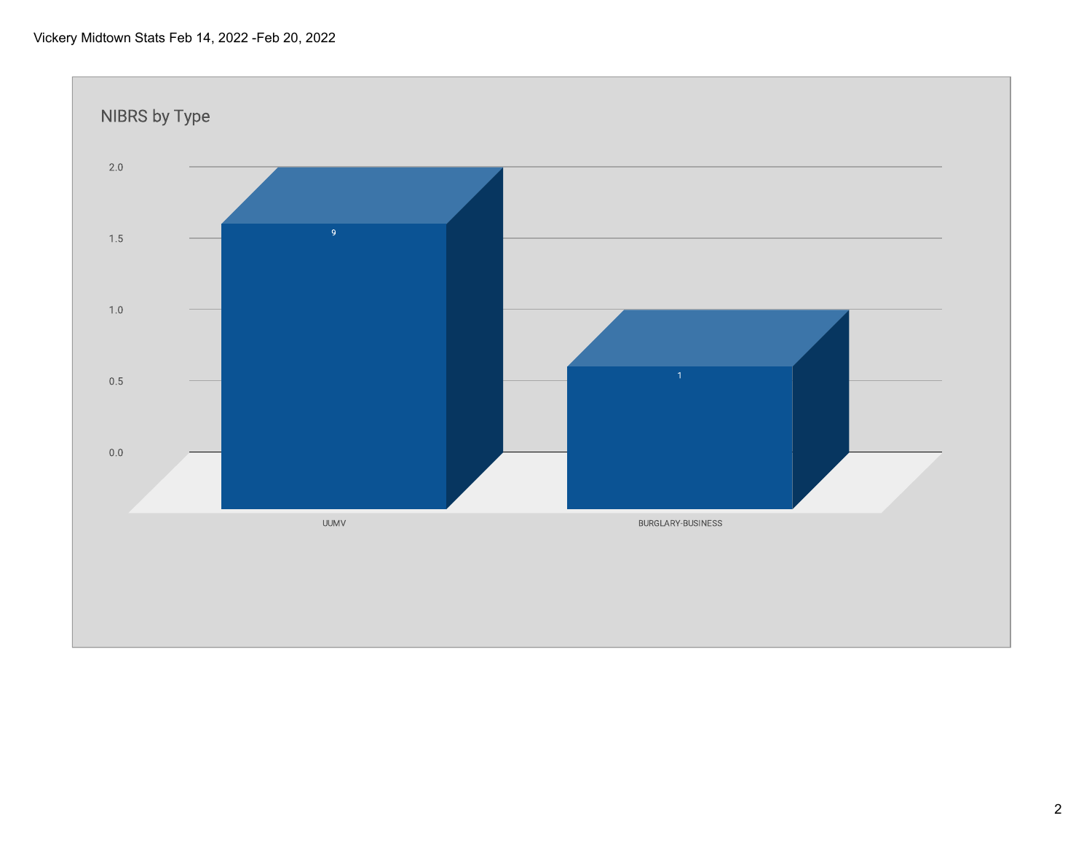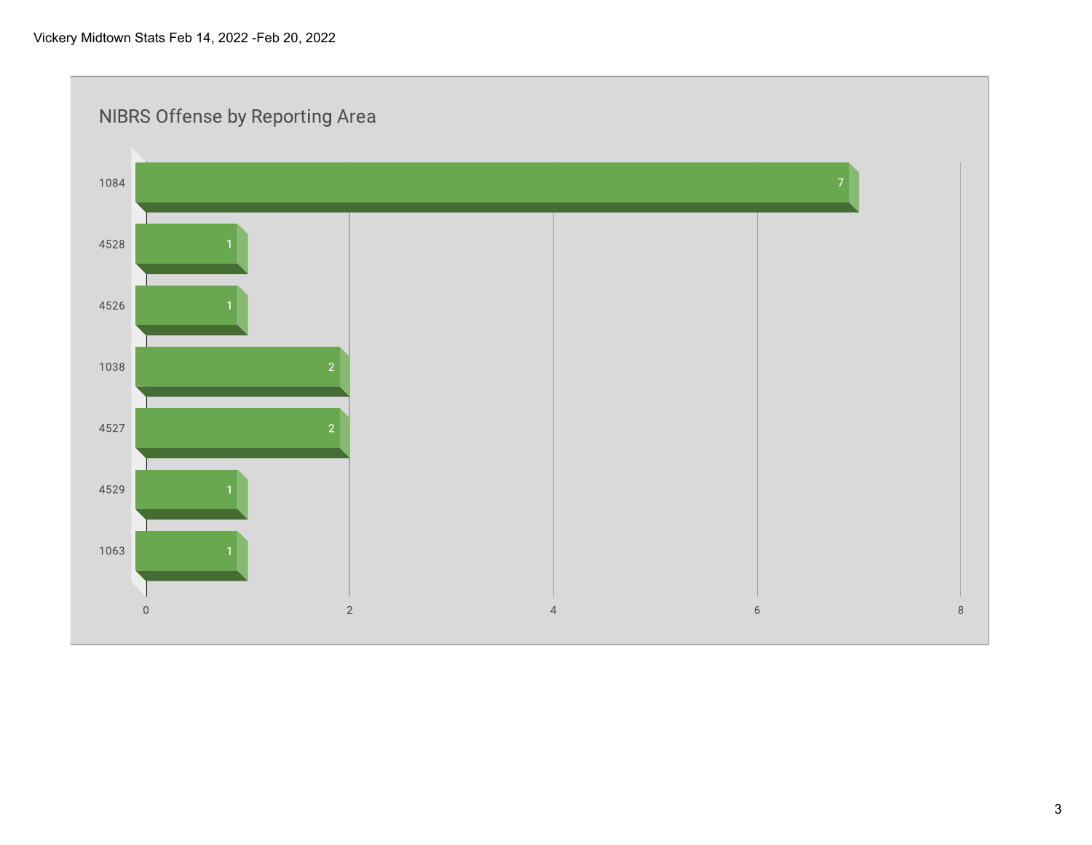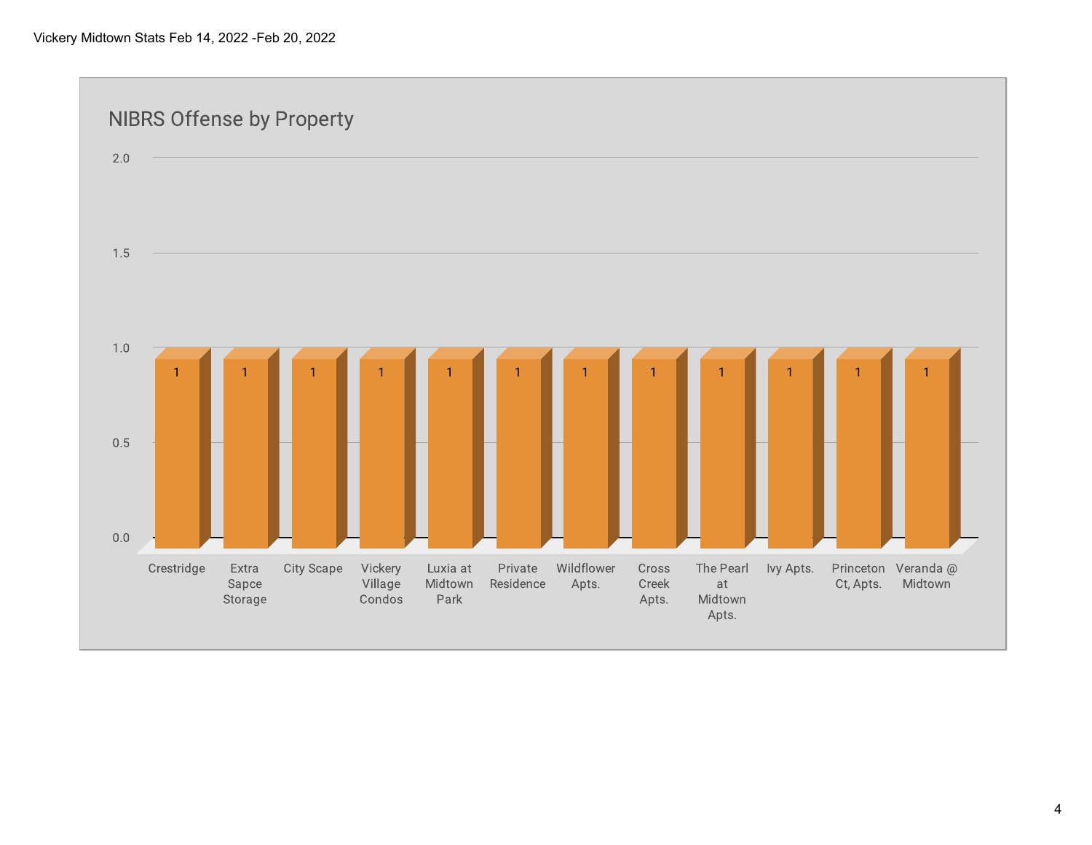